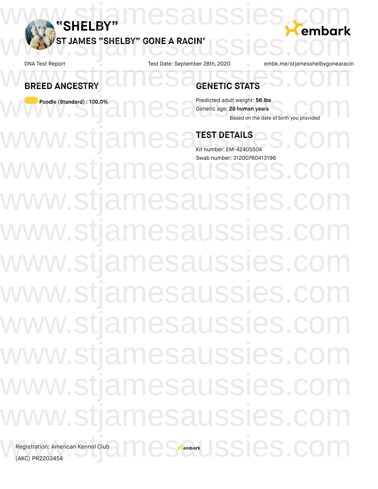

**BREED ANCESTRY**

**Poodle (Standard) : 100.0%**

w.sti

DNA Test Report Test Date: September 28th, 2020 embk.me/stjamesshelbygonearacin

# **GENETIC STATS** DNA Test Report Test Date: September 28th, 2020 embk.me/stjamesshelbygonearacii<br>
BREED ANCESTRY GENETIC STATS

Predicted adult weight: **56 lbs** Genetic age: **28 human years** Based on the date of birth you provided Poodle (Standard) : 100.0%<br>
Predicted adult weight: 56 lbs<br>
Based on the date of birth you provided<br>
Based on the date of birth you provided

## **TEST DETAILS**

number: EM-42405504 Swab number: 31200760413196

w.stja w.stjamesaussies. w.stjamesaussies.com w.stjamesaussies. w.stjamesaussies.co w.stjamesaussies.co w.stjamesaussies. w.stjamesaussies.c stjamesaussies.com/ Registration: American Kennel Club<br>(AKC) PR2203454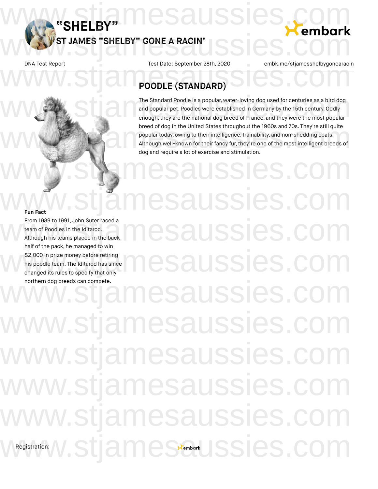**"SHELBY"**

DNA Test Report Test Date: September 28th, 2020 embk.me/stjamesshelbygonearacin WWSTJAMES "SHELBY" GONE A RACIN' SSIES.COM

# **POODLE (STANDARD)** DNA Test Report Test Date: September 28th, 2020 embk.me/stjamesshelbygonearacii<br>
POODLE (STANDARD)

www.stjamesaussies.com

**ST JAMES "SHELBY" GONE A RACIN'**

The Standard Poodle is a popular, water-loving dog used for centuries as a bird dog and popular pet. Poodles were established in Germany by the 15th century. Oddly enough, they are the national dog breed of France, and they were the most popular breed of dog in the United States throughout the 1960s and 70s. They're still quite popular today, owing to their intelligence, trainability, and non-shedding coats. Although well-known for their fancy fur,they're one of the most intelligent breeds of dog and require a lot of exercise and stimulation. The Standard Poodle is a popular, water-loving dog used for centuries as a bird dog<br>and popular pet. Poodles were established in Germany by the 15th century. Oddly<br>enough, they are the national dog breed of France, and the breed of dog in the United States throughout the 1960s and 70s. They're still quite<br>popular today, owing to their intelligence, trainability, and non-shedding coats.<br>Although well-known for their fancy fur, they're one of

ussies.cc

**Fun Fact** From 1989 to 1991, John Suter raced a team of Poodles in the Iditarod. Although his teams placed in the back half of the pack, he managed to win \$2,000 in prize money before retiring his poodle team. The Iditarod has since changed its rules to specify that only northern dog breeds can compete. Registration: saussies. saussies.co saussies esaussies.co stjamesaussies.com/ w.stjamesaussies. w.stjamesaussies.co w.stjamesaussies.co Wegistration: W.Stjamessembark JSSies.com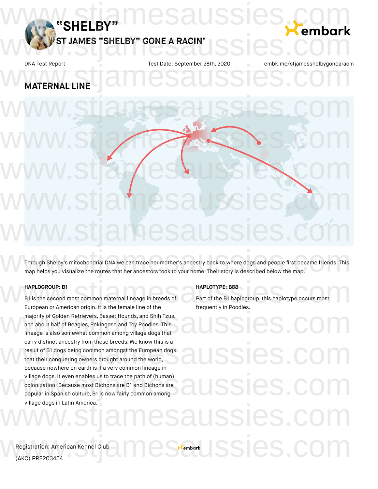

# **MATERNAL LINE** DNA Test Report Test Date: September 28th, 2020 embk.me/stjamesshelbygonearacii<br>
MATERNAL LINE

# www.stjames.com www.stjamesaussies.com www.stjamesaussies.com www.stjamesaussies.com

www.stjamesaussies.com

Through Shelby's mitochondrial DNA we can trace her mother's ancestry back to where dogs and people first became friends. This map helps you visualize the routes that her ancestors took to your home. Their story is described below the map. Through Shelby's mitochondrial DNA we can trace her mother's ancestry back to where dogs and people first became friends. This<br>map helps you visualize the routes that her ancestors took to your home. Their story is describ

### **HAPLOGROUP: B1**

B1 is the second most common maternal lineage in breeds of European or American origin. It is the female line of the majority of Golden Retrievers, Basset Hounds, and Shih Tzus, and about half of Beagles, Pekingese and Toy Poodles. This lineage is also somewhat common among village dogs that carry distinct ancestry from these breeds. We know this is a result of B1 dogs being common amongst the European dogs that their conquering owners brought around the world, because nowhere on earth is it a very common lineage in village dogs. It even enables us to trace the path of (human) colonization: Because most Bichons are B1 and Bichons are popular in Spanish culture, B1 is now fairly common among village dogs in Latin America. HAPLOGROUP: B1<br>B1 is the second most common maternal lineage in breeds of<br>European or American origin It is the female line of the frequently in Poodles

### **HAPLOTYPE: B88**

Part of the B1 haplogroup, this haplotype occurs most frequently in Poodles.

carry distinct ancestry from these breeds. We know this is a<br>result of B1 dogs being common amongst the European dogs<br>that their conquering owners brought around the world,<br>because nowhere on earth is it a very common line village dogs. It even enables us to trace the path of (human)<br>colonization: Because most Bichons are B1 and Bichons are<br>popular in Spanish culture, B1 is now fairly common among www.stjamesaussies.com **Eenbark SSIES.C**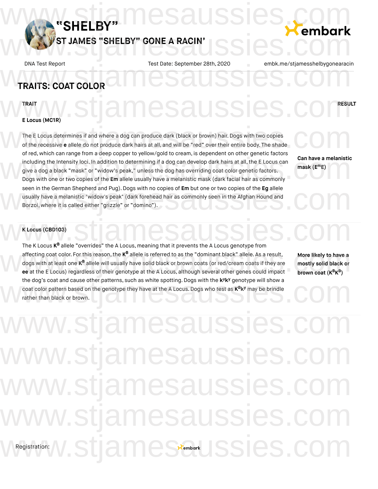

# **TRAITS: COAT COLOR** DNA Test Report Test Date: September 28th, 2020 embk.me/stjamesshelbygonearacii<br>
TRAITS: COAT COLOR

TRAIT **AND ACALLE CLOCK COMPRESULT** 

# **E Locus (MC1R)** WWW.stjamesaussies.com

The E Locus determines if and where a dog can produce dark (black or brown) hair. Dogs with two copies of the recessive **e** allele do not produce dark hairs at all, and will be "red" over their entire body. The shade of red, which can range from a deep copper to yellow/gold to cream, is dependent on other genetic factors including the Intensity loci. In addition to determining if a dog can develop dark hairs at all, the E Locus can give a dog a black "mask" or "widow's peak," unless the dog has overriding coat color genetic factors. Dogs with one or two copies of the **Em** allele usually have a melanistic mask (dark hairs at all, the E Locus can<br>Dogs with one or two copies of the **Em** allele usually have a melanistic mask (dark facial hair as commonly seen in the German Shepherd and Pug).Dogs with no copies of **Em** but one or two copies of the **Eg** allele usually have a melanistic "widow's peak" (dark forehead hair as commonly seen in the Afghan Hound and Borzoi, where it is called either "grizzle" or "domino"). The E Locus determines if and where a dog can produce dark (black or brown) hair. Dogs with two copies<br>of the recessive e allele do not produce dark hairs at all, and will be "red" over their entire body. The shade seen in the German Shepherd and Pug). Dogs with no copies of **Em** but one or two copies of the **Eg** allele<br>usually have a melanistic "widow's peak" (dark forehead hair as commonly seen in the Afghan Hound and<br>Borzoi, where

**Can have a melanistic mask** (**E**<sup>m</sup>E)

### **K Locus (CBD103)**

**EX Locus (CBD103)**<br>The K Locus **K<sup>B</sup>** allele "overrides" the A Locus, meaning that it prevents the A Locus genotype from affecting coat color. For this reason, the K<sup>B</sup> allele is referred to as the "dominant black" allele. As a result, **More likely to have a**<br>dogs with at least one K<sup>B</sup> allele will usually have solid black or brown coats (or dogs with at least one **K<sup>B</sup> allele will usually have solid black** or brown coats (or red/cream coats if they are **ee** at the E Locus) regardless of their genotype at the A Locus, although several other genes could impact the dog's coat and cause other patterns, such as white spotting. Dogs with the k<sup>y</sup>k<sup>y</sup> genotype will show a coat color pattern based on the genotype they have at the A Locus. Dogs who test as  $K^B K^y$  may be brindle rather than black or brown. the dog's coat and cause other patterns, such as white spotting. Dogs with the k<sup>y</sup>k<sup>y</sup> genotype will show a<br>coat color pattern based on the genotype they have at the A Locus. Dogs who test as K<sup>B</sup>k<sup>y</sup> may be brindle<br>rathe

**More likely to have a mostly solid black or brown coat**  $(K^{\mathsf{B}} K^{\mathsf{B}})$ 

Registration: ww.stjamesaussies.cc ww.stjamesaussies. ww.stjamesaussies.co w.stjamesaussies.co Wegistration: W.Stjamessembark JSSies.com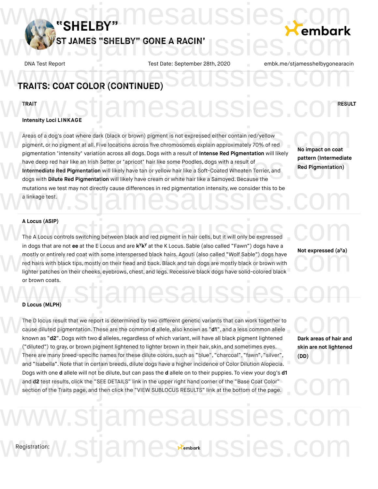

# DNA Test Report Test Date: September 28th, 2020 embk.me/stjamesshelbygonearacii<br>
TRAITS: COAT COLOR (CONTINUED)

### TRAIT **AND ACALLE CLOCK COMPRESULT**

# **Intensity Loci LINKAGE** WWW.stjamesaussies.com

Areas of a dog's coat where dark (black or brown) pigment is not expressed either contain red/yellow pigment, or no pigment at all. Five locations across five chromosomes explain approximately 70% of red pigmentation "intensity" variation across all dogs. Dogs with a result of **Intense Red Pigmentation** will likely have deep red hair like an Irish Setter or "apricot" hair like some Poodles, dogs with a result of **Intermediate Red Pigmentation** will likely have tan or yellow hair like a Soft-Coated Wheaten Terrier, and have deep red hair like an Irish Setter or "apricot" hair like some Poodles, dogs with a result of **Direct provides**<br>Intermediate Red Pigmentation will likely have tan or yellow hair like a Soft-Coated Wheaten Terrier, and mutations we test may not directly cause differences in red pigmentation intensity, we consider this to be<br>a linkage test. a linkage test. Areas of a dog's coat where dark (black or brown) pigment is not expressed either contain red/yellow<br>pigment, or no pigment at all. Five locations across five chromosomes explain approximately 70% of red<br>pigmentation "inte

**No impact on coat pattern (Intermediate Red Pigmentation)**

### **A Locus (ASIP)**

The A Locus controls switching between black and red pigment in hair cells, but it will only be expressed in dogs that are not ee at the E Locus and are k<sup>y</sup>k<sup>y</sup> at the K Locus. Sable (also called "Fawn") dogs have a mostly or entirely red coat with some interspersed black hairs. Agouti (also called "Wolf Sable") dogs have red hairs with black tips, mostly on their head and back.Black and tan dogs are mostly black or brown with mostly or entirely red coat with some interspersed black hairs. Agouti (also called "Wolf Sable") dogs have<br>red hairs with black tips, mostly on their head and back. Black and tan dogs are mostly black or brown with<br>lighte or brown coats. A Locus (ASIP)<br>The A Locus controls switching between black and red pigment in hair cells, but it will only be expressed<br>in dogs that are not ee at the E Locus and are kyky at the K Locus. Sable (also called "Eawn") dogs h

# **Not expressed (a a) y**

### **D Locus (MLPH)**

The D locus result that we report is determined by two different genetic variants that can work together to cause diluted pigmentation. These are the common **d** allele, also known as "**d1**", and a less common allele known as "**d2**". Dogs with two **d** alleles, regardless of which variant, will have all black pigment lightened ("diluted") to gray, or brown pigment lightened to lighter brown in their hair, skin, and sometimes eyes. There are many breed-specific names for these dilute colors, such as "blue", "charcoal", "fawn", "silver", and "Isabella". Note that in certain breeds, dilute dogs have a higher incidence of Color Dilution Alopecia.<br>There are many breed-specific names for these dilute colors, such as "blue", "charcoal", "fawn", "silver", (DD)<br>a Dogs with one **d** allele will not be dilute, but can pass the **d** allele on to their puppies. To view your dog's **d1** and **d2** test results, click the "SEE DETAILS" link in the upper right hand corner of the "Base Coat Color" section of the Traits page, and then click the "VIEW SUBLOCUS RESULTS" link at the bottom of the page. The D locus result that we report is determined by two different genetic variants that can work together to<br>cause diluted pigmentation. These are the common **d** allele, also known as "**d1**", and a less common allele<br>known Dogs with one **d** allele will not be dilute, but can pass the **d** allele on to their puppies. To view your dog's **d1**<br>and **d2** test results, click the "SEE DETAILS" link in the upper right hand corner of the "Base Coat Col

**Dark areas of hair and skin are not lightened (DD)**

# Registration: stiamesaussies.com/ WRegistration: W.Stjamessembark JSSies.com

esaussies.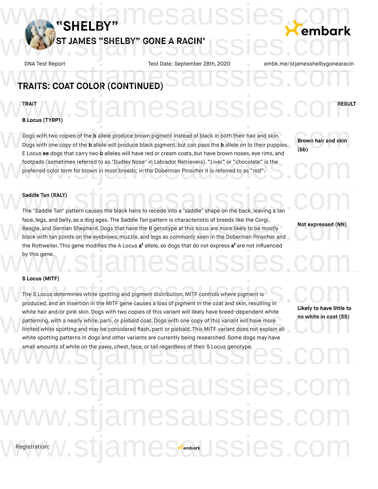

# DNA Test Report Test Date: September 28th, 2020 embk.me/stjamesshelbygonearacii<br>
TRAITS: COAT COLOR (CONTINUED)

### TRAIT **AND ACALLE CLOCK COMPRESULT**

# **B Locus (TYRP1)** WWW.stjamesaussies.com

Dogs with two copies of the **b** allele produce brown pigment instead of black in both their hair and skin. Dogs with one copy of the **b** allele will produce black pigment, but can pass the **b** allele on to their puppies. E Locus **ee** dogs that carry two **b** alleles will have red or cream coats, but have brown noses, eye rims, and footpads (sometimes referred to as "Dudley Nose" in Labrador Retrievers). "Liver" or "chocolate" is the preferred color term for brown in most breeds; in the Doberman Pinscher it is referred to as "red". Dogs with two copies of the b allele produce brown pigment instead of black in both their hair and skin.<br>Dogs with one copy of the b allele will produce black pigment, but can pass the b allele on to their puppies.<br>E Locus L'Ecocia de dogs that carry two D'anneses win have red or cream coats, but have brown hoses, eye mins, and<br>footpads (sometimes referred to as "Dudley Nose" in Labrador Retrievers). "Liver" or "chocolate" is the<br>preferred c

**Brown hair and skin (bb)**

### **Saddle Tan (RALY)**

Saddle Tan (RALY)<br>The "Saddle Tan" pattern causes the black hairs to recede into a "saddle" shape on the back, leaving a tan face, legs, and belly, as a dog ages. The Saddle Tan pattern is characteristic of breeds like the Corgi, Beagle, and German Shepherd.Dogs that have the **II** genotype at this locus are more likely to be mostly black with tan points on the eyebrows, muzzle, and legs as commonly seen in the Doberman Pinscher and the Rottweiler. This gene modifies the A Locus **a<sup>t</sup>** allele, so dogs that do not express **a<sup>t</sup>** are not influenced by this gene. face, legs, and belly, as a dog ages. The Saddle Tan pattern is characteristic of breeds like the Corgi,<br>Beagle, and German Shepherd. Dogs that have the II genotype at this locus are more likely to be mostly<br>black with tan by this gene.<br>WWW.Stiame@example.com

**Not expressed (NN)**

### **S Locus (MITF)**

The S Locus determines white spotting and pigment distribution. MITF controls where pigment is produced, and an insertion in the MITF gene causes a loss of pigment in the coat and skin, resulting in white hair and/or pink skin. Dogs with two copies of this variant will likely have breed-dependent white patterning, with a nearly white, parti, or piebald coat.Dogs with one copy of this variant will have more limited white spotting and may be considered flash, parti or piebald. This MITF variant does not explain all white spotting patterns in dogs and other variants are currently being researched. Some dogs may have small amounts of white on the paws, chest, face, or tail regardless of their S Locus genotype. s Locus (MITF)<br>The S Locus determines white spotting and pigment distribution. MITF controls where pigment is<br>produced, and an insertion in the MITF gene causes a loss of pigment in the coat and skin, resulting in white hair and/or pink skin. Dogs with two copies of this variant will likely have breed-dependent white<br>patterning, with a nearly white, parti, or piebald coat. Dogs with one copy of this variant will have more<br>limited wh small amounts of white on the paws, chest, face, or tail regardless of their S Locus genotype.

**Likely to have little to**

**no white in coat (SS)**

# Registration: w.stjamesaussies.c mesaussies.co amester Issies.com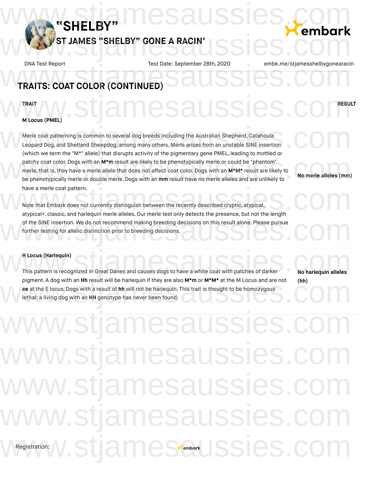

# DNA Test Report Test Date: September 28th, 2020 embk.me/stjamesshelbygonearacii<br>
TRAITS: COAT COLOR (CONTINUED)

### TRAIT **AND ACALLE CLOCK COMPRESULT**

# **M Locus (PMEL)** WWW.stjamesaussies.com

Merle coat patterning is common to several dog breeds including the Australian Shepherd, Catahoula Leopard Dog, and Shetland Sheepdog, among many others. Merle arises from an unstable SINE insertion (which we term the "M\*" allele) that disrupts activity of the pigmentary gene PMEL, leading to mottled or patchy coat color.Dogs with an **M\*m** result are likely to be phenotypically merle or could be "phantom" merle, that is, they have a merle allele that does not affect coat color. Dogs with an **M\*M\*** result are likely to be phenotypically merle or double merle.Dogs with an **mm** result have no merle alleles and are unlikely to have a merle coat pattern. Merle coat patterning is common to several dog breeds including the Australian Shepherd, Catahoula<br>Leopard Dog, and Shetland Sheepdog, among many others. Merle arises from an unstable SINE insertion<br>(which we term the "M\*" patchy coat color. Dogs with an M\*m result are likely to be phenotypically merle or could be "phantom"<br>merle, that is, they have a merle allele that does not affect coat color. Dogs with an M\*M\* result are likely to<br>be phe

Note that Embark does not currently distinguish between the recently described cryptic, atypical, have a merle coat pattern.<br>
Note that Embark does not currently distinguish between the recently described cryptic, atypical,<br>
atypical+, classic, and harlequin merle alleles. Our merle test only detects the presence, but of the SINE insertion. We do not recommend making breeding decisions on this result alone. Please pursue<br>further testing for allelic distinction prior to breeding decisions. further testing for allelic distinction prior to breeding decisions.

### **H Locus (Harlequin)**

H Locus (Harlequin)<br>
This pattern is recognized in Great Danes and causes dogs to have a white coat with patches of darker<br>
No harlequin alleles pigment. A dog with an **Hh** result will be harlequin if they are also **M\*m** or **M\*M\*** at the M Locus and are not **ee** at the E locus.Dogs with a result of **hh** will not be harlequin. This trait is thought to be homozygous lethal; a living dog with an **HH** genotype has never been found. pigment. A dog with an Hh result will be harlequin if they are also M\*m or M\*M\* at the M Locus and are not (hh)<br>ee at the E locus. Dogs with a result of hh will not be harlequin. This trait is thought to be homozygous<br>leth

**No harlequin alleles (hh)**

**No merle alleles (mm)**

# Registration: ww.stjamesaussies.co ww.stjamesaussies.c ww.stjamesaussies.co w.stjamesaussies.co Wegistration: W.Stjamessembark JSSies.com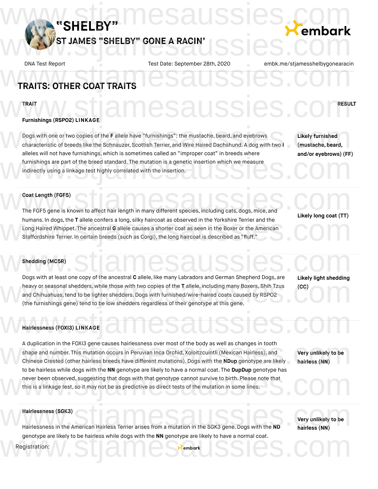

# **TRAITS: OTHER COAT TRAITS** DNA Test Report Test Date: September 28th, 2020 embk.me/stjamesshelbygonearacii<br>
TRAITS: OTHER COAT TRAITS

### TRAIT **AND ACALLE CLOCK COMPRESULT**

# **Furnishings (RSPO2) LINKAGE** WWW.stjamesaussies.com

Dogs with one or two copies of the **F** allele have "furnishings": the mustache, beard, and eyebrows characteristic of breeds like the Schnauzer, Scottish Terrier, and Wire Haired Dachshund. A dog with two **I** alleles will not have furnishings, which is sometimes called an "improper coat" in breeds where furnishings are part of the breed standard. The mutation is a genetic insertion which we measure indirectly using a linkage test highly correlated with the insertion. Dogs with one or two copies of the F allele have "furnishings": the mustache, beard, and eyebrows<br>
characteristic of breeds like the Schnauzer, Scottish Terrier, and Wire Haired Dachshund. A dog with two I (mustache, beard directly using a linkage test highly correlated with the insertion.

**Likely furnished (mustache, beard, and/or eyebrows) (FF)**

### **Coat Length (FGF5)**

The FGF5 gene is known to affect hair length in many different species, including cats, dogs, mice, and humans. In dogs,the **T** allele confers a long, silky haircoat as observed in the Yorkshire Terrier and the Long Haired Whippet. The ancestral **G** allele causes a shorter coat as seen in the Boxer or the American Staffordshire Terrier. In certain breeds (such as Corgi), the long haircoat is described as "fluff." humans. In dogs, the T allele confers a long, silky haircoat as observed in the Yorkshire Terrier and the<br>Long Haired Whippet. The ancestral G allele causes a shorter coat as seen in the Boxer or the American<br>Staffordshire

**Likely long coat (TT)**

### **Shedding (MC5R)**

Dogs with at least one copy of the ancestral **C** allele, like many Labradors and German Shepherd Dogs, are heavy or seasonal shedders, while those with two copies of the **T** allele, including many Boxers, Shih Tzus and Chihuahuas,tend to be lighter shedders.Dogs with furnished/wire-haired coats caused by RSPO2 (the furnishings gene) tend to be low shedders regardless of their genotype at this gene. W<sup>shedding</sup> (MCSR) Stiames Stiames Stiames 200 Library 1 alternative and German Shepherd Docs.com bogs with at least one copy of the ancestral C allele, ince hiarly capitations and definant difeptiend bogs, are<br>heavy or seasonal shedders, while those with two copies of the T allele, including many Boxers, Shih Tzus (CC

**Likely light shedding (CC)**

# **Hairlessness (FOXI3) LINKAGE** WHairlessness (FOXI3) LINKAGE AMESAUSSIES.COM

A duplication in the FOXI3 gene causes hairlessness over most of the body as well as changes in tooth shape and number. This mutation occurs in Peruvian Inca Orchid, Xoloitzcuintli (Mexican Hairless), and Chinese Crested (other hairless breeds have different mutations). Dogs with the **NDup** genotype are likely to be hairless while dogs with the **NN** genotype are likely to have a normal coat. The **DupDup** genotype has never been observed, suggesting that dogs with that genotype cannot survive to birth. Please note that this is a linkage test, so it may not be as predictive as direct tests of the mutation in some lines. A duplication in the FOXI3 gene causes hairlessness over most of the body as well as changes in tooth<br>shape and number. This mutation occurs in Peruvian Inca Orchid, Xoloitzcuintli (Mexican Hairless), and<br>Chinese Crested ( hever been observed, suggesting that dogs with that genotype are interviewed normal coat. The DupDup genotype has<br>hever been observed, suggesting that dogs with that genotype cannot survive to birth. Please note that<br>this

**Very unlikely to be hairless (NN)**

### **Hairlessness (SGK3)**

Hairlessness (SGK3)<br>Hairlessness in the American Hairless Terrier arises from a mutation in the SGK3 gene. Dogs with the ND Nairless (NN) genotype are likely to be hairless while dogs with the **NN** genotype are likely to have a normal coat.<br>
Registration:<br>
Wembark

**Very unlikely to be hairless (NN)**

Registration: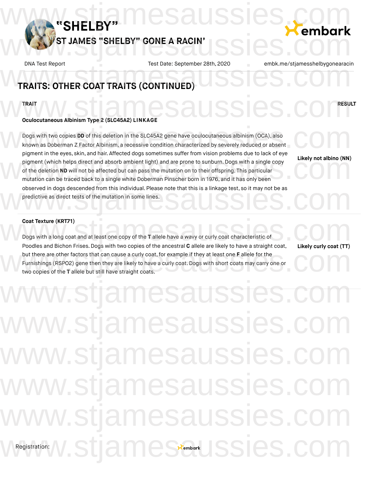

# DNA Test Report Test Date: September 28th, 2020 embk.me/stjamesshelbygonearacii<br>
TRAITS: OTHER COAT TRAITS (CONTINUED)

## **TRAIT /WWW.STITERY RESIGNATION CONTRACTLY STATES**

# **Oculocutaneous Albinism Type 2 (SLC45A2) LINKAGE** WWW.Stiame SausSies.com

Dogs with two copies **DD** of this deletion in the SLC45A2 gene have oculocutaneous albinism (OCA), also known as Doberman Z Factor Albinism, a recessive condition characterized by severely reduced or absent pigment in the eyes, skin, and hair. Affected dogs sometimes suffer from vision problems due to lack of eye pigment (which helps direct and absorb ambient light) and are prone to sunburn. Dogs with a single copy of the deletion **ND** will not be affected but can pass the mutation on to their offspring. This particular mutation can be traced back to a single white Doberman Pinscher born in 1976, and it has only been observed in dogs descended from this individual. Please note that this is a linkage test, so it may not be as<br>predictive as direct tests of the mutation in some lines. predictive as direct tests of the mutation in some lines. Dogs with two copies DD of this deletion in the SLC45A2 gene have oculocutaneous albinism (OCA), also<br>known as Doberman Z Factor Albinism, a recessive condition characterized by severely reduced or absent<br>pigment in the ev pigment in the eyes, skill, and hall. Allected dogs sometimes suffer from vision problems due to fack or eye.<br>
pigment (which helps direct and absorb ambient light) and are prone to sunburn. Dogs with a single copy<br>
of the

**Likely not albino (NN)**

### **Coat Texture (KRT71)**

Dogs with a long coat and at least one copy of the **T** allele have a wavy or curly coat characteristic of Poodles and Bichon Frises. Dogs with two copies of the ancestral **C** allele are likely to have a straight coat, but there are other factors that can cause a curly coat,for example if they at least one **F** allele for the Furnishings (RSPO2) gene then they are likely to have a curly coat.Dogs with short coats may carry one or two copies of the **T** allele but still have straight coats. Coat Texture (KRT71)<br>Dogs with a long coat and at least one copy of the T allele have a wavy or curly coat characteristic of<br>Poodles and Bichon Frises. Dogs with two copies of the apcestral C allele are likely to have a st but there are other factors that can cause a curly coat, for example if they at least one **F** allele for the Furnishings (RSPO2) gene then they are likely to have a curly coat. Dogs with short coats may carry one or two co

**Likely curly coat (TT)**

# Registration: w.stjamesaussies.c ww.stjamesaussies.co ww.stjamesaussies. w.stjamesaussies.co w.stjamesaussies.co WRegistration: W.Stjamessembark JSSies.com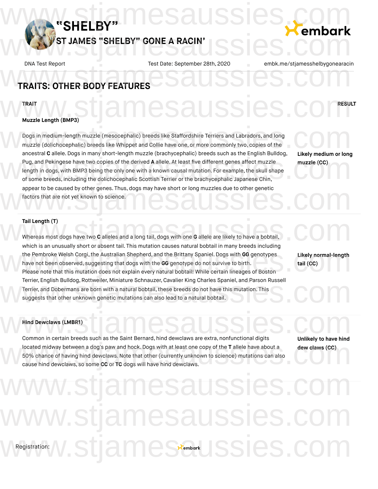

# **TRAITS: OTHER BODY FEATURES** DNA Test Report Test Date: September 28th, 2020 embk.me/stjamesshelbygonearacii<br>
TRAITS: OTHER BODY FEATURES

# TRAIT **AND ACALLE CLOCK COMPRESULT** WWW.stjamesaussies.com

## **Muzzle Length (BMP3)**

Dogs in medium-length muzzle (mesocephalic) breeds like Staffordshire Terriers and Labradors, and long muzzle (dolichocephalic) breeds like Whippet and Collie have one, or more commonly two, copies of the ancestral **C** allele.Dogs in many short-length muzzle (brachycephalic) breeds such as the English Bulldog, Pug, and Pekingese have two copies of the derived **A** allele. At least five different genes affect muzzle length in dogs, with BMP3 being the only one with a known causal mutation. For example, the skull shape of some breeds, including the dolichocephalic Scottish Terrier or the brachycephalic Japanese Chin, appear to be caused by other genes. Thus, dogs may have short or long muzzles due to other genetic<br>factors that are not yet known to science. factors that are not yet known to science. Dogs in medium-length muzzle (mesocephalic) breeds like Staffordshire Terriers and Labradors, and long<br>muzzle (dolichocephalic) breeds like Whippet and Collie have one, or more commonly two, copies of the<br>ancestral Callele Pug, and Pekingese have two copies of the derived A allele. At least five different genes affect muzzle (CC)<br>length in dogs, with BMP3 being the only one with a known causal mutation. For example, the skull shape<br>of some b

**Likely medium or long muzzle (CC)**

### **Tail Length (T)**

Whereas most dogs have two **C** alleles and a long tail, dogs with one **G** allele are likely to have a bobtail, which is an unusually short or absent tail. This mutation causes natural bobtail in many breeds including the Pembroke Welsh Corgi,the Australian Shepherd, and the Brittany Spaniel. Dogs with **GG** genotypes have not been observed, suggesting that dogs with the **GG** genotype do not survive to birth. Please note that this mutation does not explain every natural bobtail! While certain lineages of Boston Terrier, English Bulldog, Rottweiler, Miniature Schnauzer, Cavalier King Charles Spaniel, and Parson Russell<br>Terrier, and Dobermans are born with a natural bobtail, these breeds do not have this mutation. This<br>suggests tha Terrier, and Dobermans are born with a natural bobtail, these breeds do not have this mutation. This suggests that other unknown genetic mutations can also lead to a natural bobtail. Tail Length (T)<br>Whereas most dogs have two C alleles and a long tail, dogs with one G allele are likely to have a bobtail,<br>which is an unusually short or absent tail. This mutation causes patural bobtail in many breeds inc the Pembroke Welsh Corgi, the Australian Shepherd, and the Brittany Spaniel. Dogs with GG genotypes<br>have not been observed, suggesting that dogs with the GG genotype do not survive to birth.<br>Please note that this mutation

**Likely normal-length tail (CC)**

### **Hind Dewclaws (LMBR1)**

Poster of the Dewclaws (LMBR1)<br>
Common in certain breeds such as the Saint Bernard, hind dewclaws are extra, nonfunctional digits<br>
Unlikely to have hind located midway between a dog's paw and hock. Dogs with at least one copy of the **T** allele have about a 50% chance of having hind dewclaws.Note that other (currently unknown to science) mutations can also cause hind dewclaws, so some **CC** or **TC** dogs will have hind dewclaws. both in section breeds during the canterband, this devication are extra, homomotional argive<br>located midway between a dog's paw and hock. Dogs with at least one copy of the T allele have about a<br>50% chance of having hind d

**Unlikely to have hind dew claws (CC)**

# Registration: mesaussies. mesaussies.co WRegistration: W.Stjamessembark JSSies.com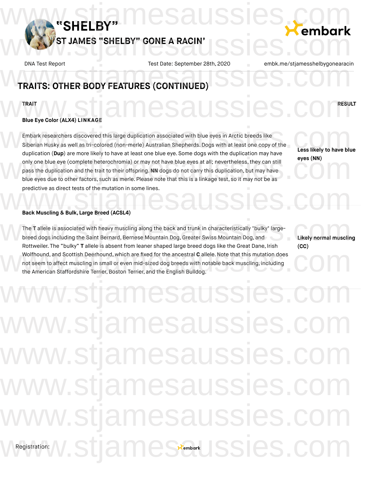

# DNA Test Report Test Date: September 28th, 2020 embk.me/stjamesshelbygonearacii<br>
TRAITS: OTHER BODY FEATURES (CONTINUED)

## TRAIT **AND ACALLE CLOCK COMPRESULT Blue Eye Color (ALX4) LINKAGE** WWW.stjamesaussies.com

Embark researchers discovered this large duplication associated with blue eyes in Arctic breeds like Siberian Husky as well as tri-colored (non-merle) Australian Shepherds. Dogs with at least one copy of the duplication (**Dup**) are more likely to have at least one blue eye. Some dogs with the duplication may have only one blue eye (complete heterochromia) or may not have blue eyes at all; nevertheless,they can still pass the duplication and the trait to their offspring.**NN** dogs do not carry this duplication, but may have blue eyes due to other factors, such as merle. Please note that this is a linkage test, so it may not be as predictive as direct tests of the mutation in some lines. Embark researchers discovered this large duplication associated with blue eyes in Arctic breeds like<br>Siberian Husky as well as tri-colored (non-merle) Australian Shepherds. Dogs with at least one copy of the<br>duplication (D only one blue eye (complete heterochromia) or may not have blue eyes at all; nevertheless, they can still<br>pass the duplication and the trait to their offspring. NN dogs do not carry this duplication, but may have<br>blue eyes predictive as direct tests of the mutation in some lines.<br>Back Muscling & Bulk, Large Breed (ACSL4)

**Less likely to have blue eyes (NN)**

### **Back Muscling & Bulk, Large Breed (ACSL4)**

The **T** allele is associated with heavy muscling along the back and trunk in characteristically "bulky" largebreed dogs including the Saint Bernard, Bernese Mountain Dog, Greater Swiss Mountain Dog, and Rottweiler. The "bulky" **T** allele is absent from leaner shaped large breed dogs like the Great Dane, Irish Wolfhound, and Scottish Deerhound, which are fixed for the ancestral **C** allele.Note that this mutation does not seem to affect muscling in small or even mid-sized dog breeds with notable back muscling, including the American Staffordshire Terrier, Boston Terrier, and the English Bulldog. The T allele is associated with heavy muscling along the back and trunk in characteristically "bulky" large-<br>breed dogs including the Saint Bernard, Bernese Mountain Dog, Greater Swiss Mountain Dog, and<br>portweiler The "bul Wolfhound, and Scottish Deerhound, which are fixed for the ancestral C allele. Note that this mutation does<br>not seem to affect muscling in small or even mid-sized dog breeds with notable back muscling, including<br>the Americ

**Likely normal muscling (CC)**

Registration: w.stjamesaussies.c ww.stjamesaussies.cc ww.stjamesaussies. ww.stjamesaussies.co vw.stjamesaussies.co WRegistration: W.Stjamessembark JSSies.com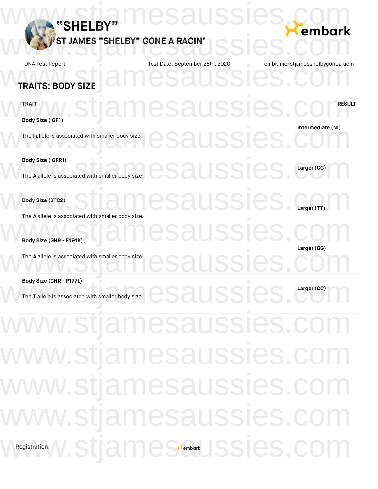| "SHELBY"<br>JAMES "SHELBY" GONE A RACIN'                                                                                                                                        | Saussi                          | embark                          |
|---------------------------------------------------------------------------------------------------------------------------------------------------------------------------------|---------------------------------|---------------------------------|
| <b>DNA Test Report</b>                                                                                                                                                          | Test Date: September 28th, 2020 | embk.me/stjamesshelbygonearacin |
| <b>TRAITS: BODY SIZE</b>                                                                                                                                                        |                                 |                                 |
| TRAIT<br>Body Size (IGF1)                                                                                                                                                       | amesaussies                     | <b>RESULT</b>                   |
| The I allele is associated with smaller body size.                                                                                                                              |                                 | Intermediate (NI)               |
| Body Size (IGFR1)<br>The A allele is associated with smaller body size.                                                                                                         | IUSSK                           | Larger (GG)                     |
| Body Size (STC2)<br>The A allele is associated with smaller body size.                                                                                                          | esaussies                       |                                 |
| Body Size (GHR - E191K)<br>The A allele is associated with smaller body size.                                                                                                   |                                 | Larger (GG)                     |
|                                                                                                                                                                                 |                                 |                                 |
| Body Size (GHR - P177L)<br>The T allele is associated with smaller body size.<br>The T allele is associated with smaller body size.<br>Sales Sales Sales Sales Contract CC (CC) |                                 |                                 |
| www.stjamesaussies.com                                                                                                                                                          |                                 |                                 |
| www.stjamesaussies.com                                                                                                                                                          |                                 |                                 |
| www.stjamesaussies.com                                                                                                                                                          |                                 |                                 |
| www.stjamesaussies.com                                                                                                                                                          |                                 |                                 |
| WRegistration: W.StjameStembark JSSies.com                                                                                                                                      |                                 |                                 |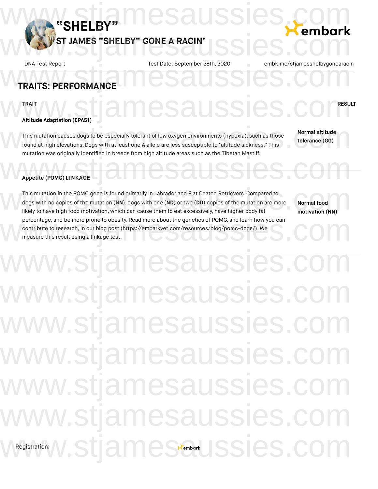

# **TRAITS: PERFORMANCE** DNA Test Report Test Date: September 28th, 2020 embk.me/stjamesshelbygonearacii<br>
TRAITS: PERFORMANCE

TRAIT **AND ACALLE CLOCK COMPRESULT** 

# **Altitude Adaptation (EPAS1)** WWW.stjamesaussies.com

This mutation causes dogs to be especially tolerant of low oxygen environments (hypoxia), such as those found at high elevations.Dogs with at least one **A** allele are less susceptible to "altitude sickness." This mutation was originally identified in breeds from high altitude areas such as the Tibetan Mastiff. This mutation causes dogs to be especially tolerant of low oxygen environments (hypoxia), such as those<br>found at high elevations. Dogs with at least one A allele are less susceptible to "altitude sickness." This<br>mutation w Appetite (POMC) LINKAGE

**Normal altitude tolerance (GG)**

### **Appetite (POMC) LINKAGE**

This mutation in the POMC gene is found primarily in Labrador and Flat Coated Retrievers.Compared to dogs with no copies of the mutation (**NN**), dogs with one (**ND**) or two (**DD**) copies of the mutation are more likely to have high food motivation, which can cause them to eat excessively, have higher body fat percentage, and be more prone to obesity. Read more about the genetics of POMC, and learn how you can<br>contribute to research, in our blog post (https://embarkvet.com/resources/blog/pomc-dogs/). We<br>measure this result using contribute to research, in our blog post (https://embarkvet.com/resources/blog/pomc-dogs/). We measure this result using a linkage test. This mutation in the POMC gene is found primarily in Labrador and Flat Coated Retrievers. Compared to<br>dogs with no copies of the mutation (NN), dogs with one (ND) or two (DD) copies of the mutation are more<br>likely to have

**Normal food motivation (NN)**

# Registration: **V. SU**a w.stjamesaussies.c w.stjamesaussies.com ww.stjamesaussies.cc ww.stjamesaussies. w.stiamesaussies.cc w.stjamesaussies.co mest www.ssies.com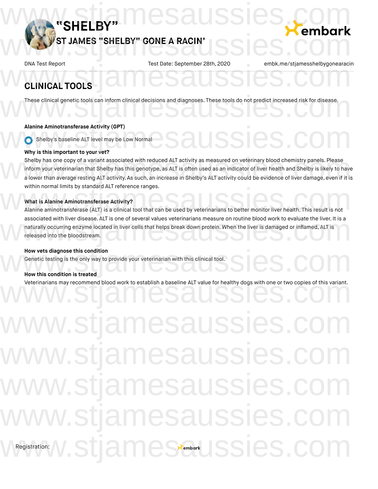

# **CLINICAL TOOLS** DNA Test Report Test Date: September 28th, 2020 embk.me/stjamesshelbygonearacii<br>
CLINICAL TOOLS

These clinical genetic tools can inform clinical decisions and diagnoses. These tools do not predict increased risk for disease. These clinical genetic tools can inform clinical decisions and diagnoses. These tools do not predict increased risk for disease.

### **Alanine Aminotransferase Activity (GPT)**

Shelby's baseline ALT level may be Low Normal www.stjamesaussies.com

### **Why is this important to your vet?**

Shelby has one copy of a variant associated with reduced ALT activity as measured on veterinary blood chemistry panels. Please inform your veterinarian that Shelby has this genotype, as ALT is often used as an indicator of liver health and Shelby is likely to have a lower than average resting ALT activity. As such, an increase in Shelby's ALT activity could be evidence of liver damage, even if it is within normal limits by standard ALT reference ranges. Shelby has one copy of a variant associated with reduced ALT activity as measured on veterinary blood chemistry panels. Please<br>inform your veterinarian that Shelby has this genotype, as ALT is often used as an indicator of

### **What is Alanine Aminotransferase Activity?**

within normal limits by standard ALT reference ranges.<br>What is Alanine Aminotransferase Activity?<br>Alanine aminotransferase (ALT) is a clinical tool that can be used by veterinarians to better monitor liver health. This res associated with liver disease. ALT is one of several values veterinarians measure on routine blood work to evaluate the liver. It is a naturally occurring enzyme located in liver cells that helps break down protein. When the liver is damaged or inflamed, ALT is released into the bloodstream. associated with liver disease. ALT is one of several values veterinarians measure on routine blood work to evaluate the liver. It is a<br>naturally occurring enzyme located in liver cells that helps break down protein. When t

### **How vets diagnose this condition**

Genetic testing is the only way to provide your veterinarian with this clinical tool. How vets diagnose this condition<br>Genetic testing is the only way to provide your veterinarian with this clinical tool.<br>How this condition is treated

### **How this condition is treated**

Veterinarians may recommend blood work to establish a baseline ALT value for healthy dogs with one or two copies of this variant.<br>We consider the commend blood work to establish a baseline ALT value for healthy dogs with o

Registration: nesaussies. mesaussies mesaussies. esaussies.c mes Stembark JSSIes.com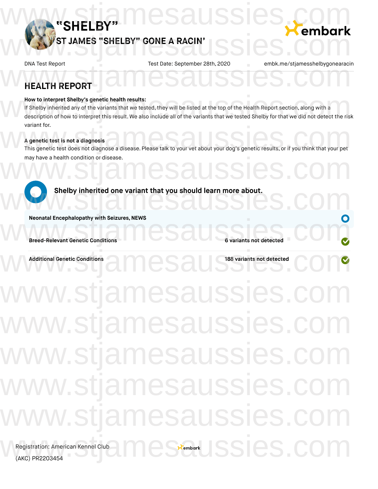

# **HEALTH REPORT** DNA Test Report Test Date: September 28th, 2020 embk.me/stjamesshelbygonearacii<br>
HEALTH REPORT

### **How to interpret Shelby's genetic health results:**

If Shelby inherited any of the variants that we tested, they will be listed at the top of the Health Report section, along with a How to interpret Shelby's genetic health results:<br>If Shelby inherited any of the variants that we tested, they will be listed at the top of the Health Report section, along with a<br>description of how to interpret this resul variant for.

### **A genetic test is not a diagnosis**

variant for.<br>This genetic test is not a diagnosis<br>This genetic test does not diagnose a disease. Please talk to your vet about your dog's genetic results, or if you think that your pet may have a health condition or disease. may have a health condition or disease.<br>WWW.SUAMESAUSSIES.COM



stjamesaussies. stjamesaussies. nesaussies. esaussies Registration: American Kennel Club<br>(AKC) PR2203454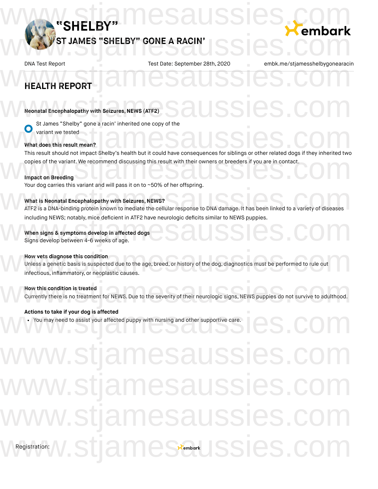

# **HEALTH REPORT** DNA Test Report Test Date: September 28th, 2020 embk.me/stjamesshelbygonearacii<br>
HEALTH REPORT

# **Neonatal Encephalopathy with Seizures, NEWS (ATF2)** Neonatal Encephalopathy with Seizures, NEWS (ATF2)<br>Company of Lance "Challen" ages a point inherited and convert the

St James "Shelby" gone a racin' inherited one copy of the variant we tested

### **What does this result mean?**

What does this result mean?<br>This result should not impact Shelby's health but it could have consequences for siblings or other related dogs if they inherited two copies of the variant. We recommend discussing this result with their owners or breeders if you are in contact. copies of the variant. We recommend discussing this result with their owners or breeders if you are in contact.<br>
Impact on Breeding<br>
Your decorrise this unrist and will peep it on to u50% of her effecting.

### **Impact on Breeding**

Your dog carries this variant and will pass it on to ~50% of her offspring.

### **What is Neonatal Encephalopathy with Seizures, NEWS?**

rour dog cames this variant and will pass it on to ~50% of her onspring.<br>What is Neonatal Encephalopathy with Seizures, NEWS?<br>ATF2 is a DNA-binding protein known to mediate the cellular response to DNA damage. It has been including NEWS; notably, mice deficient in ATF2 have neurologic deficits similar to NEWS puppies.<br>
When signs & symptoms develop in affected dogs<br>
Signs develop between 4-6 weeks of age.

### **When signs & symptoms develop in affected dogs**

Signs develop between 4-6 weeks of age.

### **How vets diagnose this condition**

Unless a genetic basis is suspected due to the age, breed, or history of the dog, diagnostics must be performed to rule out infectious, inflammatory, or neoplastic causes. How vets diagnose this condition<br>Unless a genetic basis is suspected due to the age, breed, or history of the dog, diagnostics must be performed to rule out<br>infectious, inflammatory, or neoplastic causes.

## **How this condition is treated**

Currently there is no treatment for NEWS.Due to the severity of their neurologic signs, NEWS puppies do not survive to adulthood. How this condition is treated<br>Currently there is no treatment for NEWS. Due to the severity of their neurologic signs, NEWS puppies do not survive to adulthood.

## **Actions to take if your dog is affected**

You may need to assist your affected puppy with nursing and other supportive care. Actions to take if your dog is affected<br>
• You may need to assist your affected puppy with nursing and other supportive care.<br>
• You may need to assist your affected puppy with nursing and other supportive care.

# Registration: v.stjamesauss mesaussies JSSIES  $n$ es $\epsilon$ embark $\cup$ ISSIes.com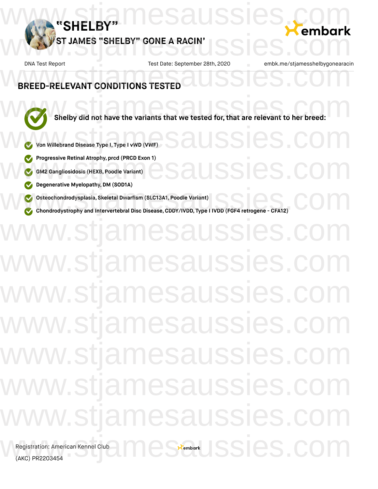

SSIES.C

ISSIES.

 $x<sub>ember</sub>$  SSI $e$ S.

# **BREED-RELEVANT CONDITIONS TESTED** DNA Test Report Test Date: September 28th, 2020 embk.me/stjamesshelbygonearacii<br>
BREED-RELEVANT CONDITIONS TESTED

**Shelby** did not have the variants that we tested for, that are relevant to her breed:

- **Von Willebrand Disease Type I, Type I vWD (VWF)**
- **Progressive Retinal Atrophy, prcd (PRCD Exon 1)**
- **GM2 Gangliosidosis (HEXB, Poodle Variant)**
- **Degenerative Myelopathy,DM (SOD1A)**
- **Osteochondrodysplasia, Skeletal Dwarfism (SLC13A1, Poodle Variant)**
- **Chondrodystrophy** and intervertebral Disc Disease, CDDY/IVDD, Type I IVDD (FGF4 retrogene CFA12)

# w.stjamesaussies.c w.stjamesaussies. w.stjamesaussies.co ww.stjamesaussies.co ww.stjamesaussies. w.stjamesaussies.co w.stjamesaussies.co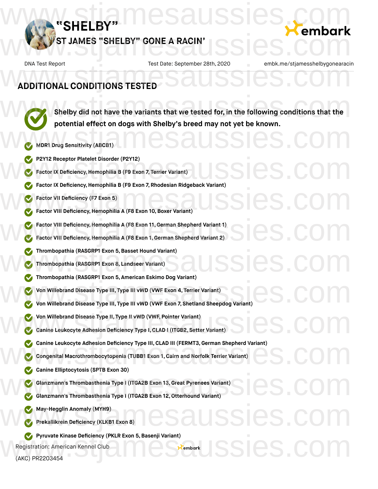

# **ADDITIONAL CONDITIONS TESTED** DNA Test Report Test Date: September 28th, 2020 embk.me/stjamesshelbygonearacii<br>ADDITIONAL CONDITIONS TESTED

**Shelby did not have the variants that we tested for, in the following conditions that the potential effect on dogs with Shelby's breed may not yet be known.** Shelby did not have the variants that we tested for, in the following conditions that the potential effect on dogs with Shelby's breed may not yet be Khown.<br>When Drug Sensitivity (ABCB1)

 $\epsilon$ embark $\text{SS}$ l $\text{CS}$ .com

- **MDR1 Drug Sensitivity (ABCB1)**
- **P2Y12 Receptor Platelet Disorder (P2Y12)**
- **Factor IX Deficiency,Hemophilia B (F9 Exon 7, Terrier Variant)** P2Y12 Receptor Platelet Disorder (P2Y12)<br>Factor IX Deficiency, Hemophilia B (F9 Exon 7, Terrier Variant)<br>Contract IX Deficiency, Hemophilia B (F9 Exon 7, Terrier Variant)
	- **Factor IX Deficiency, Hemophilia B (F9 Exon 7, Rhodesian Ridgeback Variant)**
	- **Factor VII Deficiency (F7 Exon 5)**
- **Factor VIII Deficiency, Hemophilia A (F8 Exon 10, Boxer Variant)** Factor VII Deficiency (F7 Exon 5)<br>Factor VIII Deficiency (F7 Exon 5)<br>Factor VIII Deficiency, Hemophilia A (F8 Exon 10, Boxer Variant)
	- **Factor VIII Deficiency,Hemophilia A (F8 Exon 11,German Shepherd Variant 1)**
- **Factor VIII Deficiency,Hemophilia A (F8 Exon 1, German Shepherd Variant 2)** Factor VIII Deficiency, Hemophilia A (F8 Exon 11, German Shepherd Variant 1)<br>Factor VIII Deficiency, Hemophilia A (F8 Exon 1, German Shepherd Variant 2)
- **Thrombopathia (RASGRP1 Exon 5,Basset Hound Variant)** Thrombopathia (RASGRP1 Exon 5, Basset Hound Variant)<br>
Thrombopathia (RASGRP1 Exon 8, Landseer Variant)<br>
CA Thrombopathia (PASGRP1 Exon 5, American Eskimo Dog Variant)
	- **Thrombopathia (RASGRP1 Exon 8, Landseer Variant)**
	- **Thrombopathia (RASGRP1 Exon 5, American Eskimo Dog Variant)**
	- **Von Willebrand Disease Type III, Type III vWD (VWF Exon 4, Terrier Variant)**
- **Von** Willebrand Disease Type III, Type III vWD (VWF Exon 4, Terrier Variant)<br>
won Willebrand Disease Type III, Type III vWD (VWF Exon 7, Shetland Sheepdog Variant)
	- **Von Willebrand Disease Type II, Type II vWD (VWF, Pointer Variant)**
- **Canine Leukocyte Adhesion Deficiency Type I,CLAD I (ITGB2, Setter Variant)** W Von Willebrand Disease Type II, Type II vWD (VWF, Pointer Variant)<br>Canine Leukocyte Adhesion Deficiency Type I, CLAD I (ITGB2, Setter Variant)
- **Canine Leukocyte Adhesion Deficiency Type III, CLAD III (FERMT3, German Shepherd Variant)<br>
Congenital Macrothrombocytopenia (TUBB1 Exon 1, Cairn and Norfolk Terrier Variant)<br>
Canine Ellintecytosis (SPTB Exon 30)** 
	- **Congenital Macrothrombocytopenia (TUBB1 Exon 1, Cairn and Norfolk Terrier Variant)**
	- **Canine Elliptocytosis (SPTB Exon 30)**
- **Glanzmann's Thrombasthenia Type I (ITGA2B Exon 13,Great Pyrenees Variant)** Glanzmann's Thrombasthenia Type I (ITGA2B Exon 13, Great Pyrenees Variant)<br>Colanzmann's Thrombasthenia Type I (ITGA2B Exon 12, Otterhound Variant)
	- **Glanzmann's Thrombasthenia Type I (ITGA2B Exon 12,Otterhound Variant)**
	- **May-Hegglin Anomaly (MYH9)**
- **Prekallikrein Deficiency (KLKB1 Exon 8)** We May-Hegglin Anomaly (MYH9)<br>Prekallikrein Deficiency (KLKB1 Exon 8)<br>
COM
	- **Pyruvate Kinase Deficiency (PKLR Exon 5,Basenji Variant)**

Registration: American Kennel Club

(AKC) PR2203454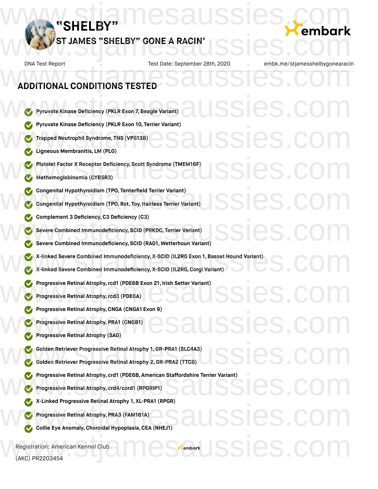

DNA Test Report Test Date: September 28th, 2020 embk.me/stjamesshelbygonearacin **Pyruvate Kinase Deficiency (PKLR Exon 7,Beagle Variant) Pyruvate Kinase Deficiency (PKLR Exon 10, Terrier Variant) Trapped Neutrophil Syndrome, TNS (VPS13B) Ligneous Membranitis, LM (PLG) Platelet Factor X Receptor Deficiency, Scott Syndrome (TMEM16F) Methemoglobinemia (CYB5R3) Congenital Hypothyroidism (TPO, Tenterfield Terrier Variant) Congenital Hypothyroidism (TPO, Rat, Toy,Hairless Terrier Variant) Complement 3 Deficiency,C3 Deficiency (C3) Severe Combined Immunodeficiency, SCID (PRKDC, Terrier Variant) Severe Combined Immunodeficiency, SCID (RAG1, Wetterhoun Variant) X-linked Severe Combined Immunodeficiency, X-SCID (IL2RG Exon 1, Basset Hound Variant) X-linked Severe Combined Immunodeficiency, X-SCID (IL2RG,Corgi Variant) Progressive Retinal Atrophy,rcd1 (PDE6B Exon 21, Irish Setter Variant) Progressive Retinal Atrophy,rcd3 (PDE6A) Progressive Retinal Atrophy,CNGA (CNGA1 Exon 9) Progressive Retinal Atrophy, PRA1 (CNGB1) Progressive Retinal Atrophy (SAG) Golden Retriever Progressive Retinal Atrophy 1, GR-PRA1 (SLC4A3) Golden Retriever Progressive Retinal Atrophy 2,GR-PRA2 (TTC8) Progressive Retinal Atrophy, crd1** (PDE6B, American Staffordshire Terrier Variant)<br>
Progressive Retinal Atrophy, crd4/cord1 (RPGRIP1)<br>
www.stjamesaussies.com Petitel Atrophy.art V1. PD44 (PDCP) **Progressive Retinal Atrophy, crd4/cord1 (RPGRIP1) X-Linked Progressive Retinal Atrophy 1, XL-PRA1 (RPGR) Progressive Retinal Atrophy, PRA3 (FAM161A) Collie Eye Anomaly,Choroidal Hypoplasia,CEA (NHEJ1)** Registration: American Kennel Club **ADDITIONAL CONDITIONS TESTED** DNA Test Report Test Date: September 28th, 2020 embk.me/stjamesshelbygonearacii<br>ADDITIONAL CONDITIONS TESTED ssies. Pyruvate Kinase Deficiency (PKLR Exon 10, Terrier Variant)<br>
C Trapped Neutrophil Syndrome, TNS (VPS13B)<br>
C Ligneous Membranitis, LM (PLG) Welatelet Factor X Receptor Deficiency, Scott Syndrome (TMEM16F)<br>Wethernoglobinemia (CYB5R3) Complement 3 Deficiency, C3 Deficiency (C3)<br>
Severe Combined Immunodeficiency, SCID (PRKDC, Terrier Variant)<br>
SSICS COM X-linked Severe Combined Immunodeficiency, X-SCID (IL2RG Exon 1, Basset Hound Variant)<br>X-linked Severe Combined Immunodeficiency, X-SCID (IL2RG, Corgi Variant) Progressive Retinal Atrophy, rcd1 (PDE6B Exon 21, Irish Setter Variant)<br>Progressive Retinal Atrophy, rcd3 (PDE6A) SSIGS.C Golden Retriever Progressive Retinal Atrophy 1, GR-PRA1 (SLC4A3)<br>Golden Retriever Progressive Retinal Atrophy 2, GR-PRA2 (TTC8) X-Linked Progressive Retinal Atrophy I, XL-PRAT (RPGR)<br>
Collie Eye Anomaly, Choroidal Hypoplasia, CEA (NHEJ1)  $\epsilon$ embark  $\text{ISS}$ es.com

(AKC) PR2203454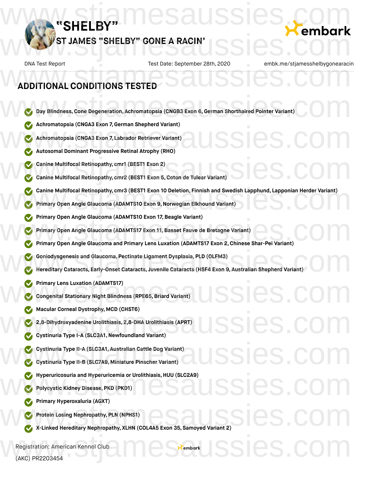

# **ADDITIONAL CONDITIONS TESTED** DNA Test Report Test Date: September 28th, 2020 embk.me/stjamesshelbygonearacii<br>ADDITIONAL CONDITIONS TESTED

- **Day Blindness,Cone Degeneration, Achromatopsia (CNGB3 Exon 6,German Shorthaired Pointer Variant)** W Day Blindness, Cone Degeneration, Achromatopsia (CNGB3 Exon 6, German Shorthaired Pointer Variant)
	- **Achromatopsia (CNGA3 Exon 7,German Shepherd Variant)**
- **Achromatopsia (CNGA3 Exon 7, Labrador Retriever Variant)** Machromatopsia (CNGA3 Exon 7, German Shepherd Variant)<br>Machromatopsia (CNGA3 Exon 7, Labrador Retriever Variant)<br>Machromatopsia (CNGA3 Exon 7, Labrador Retriever Variant)<br>Machromatopsia (CNGA3 Exon 7, Labrador Retriever Va
	- **Autosomal Dominant Progressive Retinal Atrophy (RHO)**
	- **Canine Multifocal Retinopathy, cmr1 (BEST1 Exon 2)**
- **Canine Multifocal Retinopathy, cmr2 (BEST1 Exon 5,Coton de Tulear Variant)** Canine Multifocal Retinopathy, cmr1 (BEST1 Exon 2)<br>Canine Multifocal Retinopathy, cmr2 (BEST1 Exon 5, Coton de Tulear Variant)
- **Canine** Multifocal Retinopathy, cmr3 (BEST1 Exon 10 Deletion, Finnish and Swedish Lapphund, Lapponian Herder Variant)<br>
Primary Open Angle Glaucoma (ADAMTS10 Exon 9, Norwegian Elkhound Variant)<br>
www.stjamesaussies.com and
	- **Primary Open Angle Glaucoma (ADAMTS10 Exon 9,Norwegian Elkhound Variant)**
	- **Primary Open Angle Glaucoma (ADAMTS10 Exon 17, Beagle Variant)**
	- **Primary Open Angle Glaucoma (ADAMTS17 Exon 11,Basset Fauve de Bretagne Variant)**
- **Primary Open Angle Glaucoma** (ADAMTS10 Exon 17, Beagle Variant)<br>
www.strip Primary Open Angle Glaucoma and Primary Lens Luxation (ADAMTS17 Exon 2, Chinese Shar-Pei Variant)<br>
www.strip Primary Open Angle Glaucoma and Prima
	- **Goniodysgenesis and Glaucoma, Pectinate Ligament Dysplasia, PLD (OLFM3)**
- **Materiary Coniodysgenesis and Glaucoma, Pectinate Ligament Dysplasia, PLD (OLFM3)<br>
Wereditary Cataracts, Early-Onset Cataracts, Juvenile Cataracts (HSF4 Exon 9, Australian Shepherd Variant)** 
	- **Primary Lens Luxation (ADAMTS17)**
- **Congenital Stationary Night Blindness (RPE65,Briard Variant)** Primary Lens Luxation (ADAMTS17)<br>Congenital Stationary Night Blindness (RPE65, Briard Variant)<br>Companies of the company of the company of the company of the company of the company of the company of the company of the compa
	- **Macular Corneal Dystrophy, MCD (CHST6)**
- **2,8-Dihydroxyadenine Urolithiasis, 2,8-DHA Urolithiasis (APRT)** We Macular Corneal Dystrophy, MCD (CHST6)<br>
2.8-Dihydroxyadenine Urolithiasis, 2,8-DHA Urolithiasis (APRT)<br>
Cystinuria Type I-A (SLC3A1, Newfoundland Variant)
	- **Cystinuria Type I-A (SLC3A1,Newfoundland Variant)**
- **Cystinuria Type II-A (SLC3A1, Australian Cattle Dog Variant)** W Cystinuria Type II-A (SLC3A1, Australian Cattle Dog Variant)<br>Cystinuria Type II-B (SLC7A9, Miniature Pinscher Variant)<br>Catholic School Communication of the School Communication of the School Communication of the School C
	- **Cystinuria Type II-B (SLC7A9, Miniature Pinscher Variant)**
- **Hyperuricosuria and Hyperuricemia or Urolithiasis, HUU (SLC2A9)** W Hyperuricosuria and Hyperuricemia or Urolithiasis, HUU (SLC2A9)<br>Polycystic Kidney Disease, PKD (PKD1)<br>Compare the conclusion (ACVT)
	- **Polycystic Kidney Disease, PKD (PKD1)**
	- **Primary Hyperoxaluria (AGXT)**
		- **Protein Losing Nephropathy, PLN (NPHS1)**
- **X-Linked Hereditary Nephropathy, PLN** (NPHS1)<br>
www.st-Linked Hereditary Nephropathy, XLHN (COL4A5 Exon 35, Samoyed Variant 2)

Registration: American Kennel Club (AKC) PR2203454 Registration: American Kennel Club<br>(AKC) PR2203454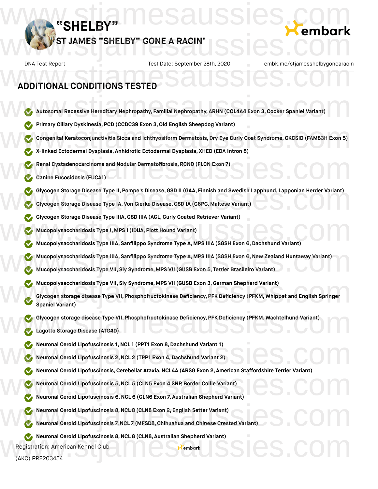

# **ADDITIONAL CONDITIONS TESTED** DNA Test Report Test Date: September 28th, 2020 embk.me/stjamesshelbygonearacii<br>ADDITIONAL CONDITIONS TESTED

- **Autosomal Recessive Hereditary Nephropathy, Familial Nephropathy, ARHN (COL4A4 Exon 3,Cocker Spaniel Variant)** W Autosomal Recessive Hereditary Nephropathy, Familial Nephropathy, ARHN (COL4A4 Exon 3, Cocker Spaniel Variant)
	- **Primary Ciliary Dyskinesia, PCD (CCDC39 Exon 3,Old English Sheepdog Variant)**
- **Congenital Keratoconjunctivitis Sicca and Ichthyosiform Dermatosis, Dry Eye Curly Coat Syndrome, CKCSID (FAM83H Exon 5)** Werimary Ciliary Dyskinesia, PCD (CCDC39 Exon 3, Old English Sheepdog Variant)<br>Congenital Keratoconjunctivitis Sicca and Ichthyosiform Dermatosis, Dry Eye Curly Coat Syndrome, CKCSID (FAM83H Exon 5)<br>Marinked Ectodermal Dy
	- **X-linked Ectodermal Dysplasia, Anhidrotic Ectodermal Dysplasia, XHED (EDA Intron 8)**
- **Renal Cystadenocarcinoma and Nodular Dermatofibrosis, RCND (FLCN Exon 7)** Renal Cystadenocarcinoma and Nodular Dermatofibrosis, RCND (FLCN Exon 7)<br>Canine Fucosidosis (FUCA1)
	- **Canine Fucosidosis (FUCA1)**
- **Glycogen Storage Disease Type II, Pompe's Disease, GSD II (GAA, Finnish and Swedish Lapphund, Lapponian Herder Variant)<br>
Glycogen Storage Disease Type IA, Von Gierke Disease, GSD IA (G6PC, Maltese Variant)<br>
www.stamesauss** 
	- **Glycogen Storage Disease Type IA, Von Gierke Disease,GSD IA (G6PC, Maltese Variant)**
	- **Glycogen Storage Disease Type IIIA,GSD IIIA (AGL,Curly Coated Retriever Variant)**
	- **Mucopolysaccharidosis Type I, MPS I (IDUA, Plott Hound Variant)**
- Mucopolysaccharidosis Type IIIA, GSD IIIA (AGL, Curly Coated Retriever Variant)<br>
WWW.STANGON Mucopolysaccharidosis Type IIIA, Sanfilippo Syndrome Type A, MPS IIIA (SGSH Exon 6, Dachshund Variant)<br>
WWW.STANGON WARRENT OF TH
- **Mucopolysaccharidosis Type IIIA, Sanfilippo Syndrome Type A, MPS IIIA (SGSH Exon 6,New Zealand Huntaway Variant)** W Mucopolysaccharidosis Type IIIA, Sanfilippo Syndrome Type A, MPS IIIA (SGSH Exon 6, New Zealand Huntaway Variant)<br>Mucopolysaccharidosis Type VII, Sly Syndrome, MPS VII (GUSB Exon 5, Terrier Brasileiro Variant)
	- **Mucopolysaccharidosis Type VII, Sly Syndrome, MPS VII (GUSB Exon 5, Terrier Brasileiro Variant)**
	- **Mucopolysaccharidosis Type VII, Sly Syndrome, MPS VII (GUSB Exon 3,German Shepherd Variant)**
- **Glycogen storage disease Type VII, Phosphofructokinase Deficiency, PFK Deficiency (PFKM, Whippet and English Springer Spaniel Variant)** Mucopolysaccharidosis Type VII, Sly Syndrome, MPS VII (GUSB Exon 3, German Shepherd Variant)<br>Glycogen storage disease Type VII, Phosphofructokinase Deficiency, PFK Deficiency (PFKM, Whippet and English Springer<br>Spaniel Var
- **Glycogen storage disease Type VII, Phosphofructokinase Deficiency, PFK Deficiency (PFKM, Wachtelhund Variant)** W Glycogen storage disease Type VII, Phosphofructokinase Deficiency, PFK Deficiency (PFKM, Wachtelhund Variant)<br>Lagotto Storage Disease (ATG4D)
	- **Lagotto Storage Disease (ATG4D)**
	- **Neuronal Ceroid Lipofuscinosis 1,NCL 1 (PPT1 Exon 8,Dachshund Variant 1)**
- **Neuronal Ceroid Lipofuscinosis 2,NCL 2 (TPP1 Exon 4,Dachshund Variant 2)** Weuronal Ceroid Lipofuscinosis 1, NCL 1 (PPT1 Exon 8, Dachshund Variant 1)<br>Neuronal Ceroid Lipofuscinosis 2, NCL 2 (TPP1 Exon 4, Dachshund Variant 2)<br>Neuronal Oscid Lipofuscinosis Quabelles Marie NOL 44 (APCG Euro 9, Ameri
	- **Neuronal Ceroid Lipofuscinosis,Cerebellar Ataxia,NCL4A (ARSG Exon 2, American Staffordshire Terrier Variant)**
	- **Neuronal Ceroid Lipofuscinosis 5,NCL 5 (CLN5 Exon 4 SNP, Border Collie Variant)**
- **Neuronal Ceroid Lipofuscinosis 6,NCL 6 (CLN6 Exon 7, Australian Shepherd Variant)** Weuronal Ceroid Lipofuscinosis, Cerebellar Ataxia, NCL4A (ARSG EXON 2, American Starrordshire Terrier Variant)<br>Neuronal Ceroid Lipofuscinosis 5, NCL 5 (CLN5 Exon 4 SNP, Border Collie Variant)<br>Neuronal Ceroid Lipofuscinosis
	- **Neuronal Ceroid Lipofuscinosis 8,NCL 8 (CLN8 Exon 2, English Setter Variant)**
- **Neuronal Ceroid Lipofuscinosis 7,NCL 7 (MFSD8,Chihuahua and Chinese Crested Variant)** Weuronal Ceroid Lipofuscinosis 8, NCL 8 (CLN8 Exon 2, English Setter Variant)<br>Neuronal Ceroid Lipofuscinosis 7, NCL 7 (MFSD8, Chihuahua and Chinese Crested Variant)
- **Neuronal Ceroid Lipofuscinosis 8,NCL 8 (CLN8, Australian Shepherd Variant)** We Neuronal Ceroid Lipofuscinosis 8, NCL 8 (CLN8, Australian Shepherd Variant)<br>Registration: American Kennel Club<br>(AKC) PR2203454

Registration: American Kennel Club

(AKC) PR2203454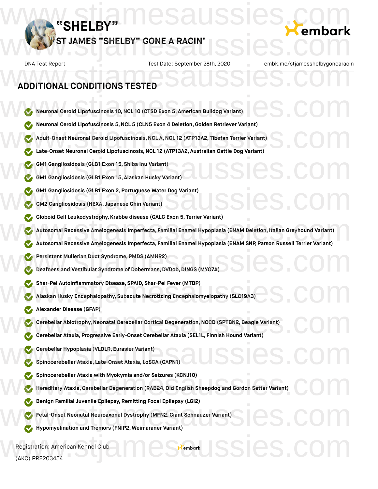

## **ADDITIONAL CONDITIONS TESTED**

(AKC) PR2203454

**Neuronal Ceroid Lipofuscinosis 10,NCL 10 (CTSD Exon 5, American Bulldog Variant) Neuronal Ceroid Lipofuscinosis 5,NCL 5 (CLN5 Exon 4 Deletion,Golden Retriever Variant) Adult-Onset Neuronal Ceroid Lipofuscinosis,NCL A,NCL 12 (ATP13A2, Tibetan Terrier Variant) Late-Onset Neuronal Ceroid Lipofuscinosis,NCL 12 (ATP13A2, Australian Cattle Dog Variant) GM1 Gangliosidosis (GLB1 Exon 15, Shiba Inu Variant) GM1 Gangliosidosis (GLB1 Exon 15, Alaskan Husky Variant) GM1 Gangliosidosis (GLB1 Exon 2, Portuguese Water Dog Variant) GM2 Gangliosidosis (HEXA, Japanese Chin Variant) Globoid Cell Leukodystrophy, Krabbe disease (GALC Exon 5, Terrier Variant) Autosomal Recessive Amelogenesis Imperfecta, Familial Enamel Hypoplasia (ENAM Deletion, Italian Greyhound Variant) Autosomal Recessive Amelogenesis Imperfecta, Familial Enamel Hypoplasia (ENAM SNP, Parson Russell Terrier Variant)** www.stjamesaussies.com **Persistent Mullerian Duct Syndrome, PMDS (AMHR2) Deafness and Vestibular Syndrome of Dobermans, DVDob, DINGS (MYO7A) Shar-Pei Autoinflammatory Disease, SPAID, Shar-Pei Fever (MTBP) Alaskan Husky Encephalopathy, Subacute Necrotizing Encephalomyelopathy (SLC19A3) Alexander Disease (GFAP) Cerebellar Abiotrophy,Neonatal Cerebellar Cortical Degeneration,NCCD (SPTBN2,Beagle Variant) Cerebellar Abiotrophy, Neonatal Cerebellar Cortical Degeneration, NCCD (SPTBN2, Beagle Variant)<br>
www.screbellar Ataxia, Progressive Early-Onset Cerebellar Ataxia (SEL1L, Finnish Hound Variant)<br>
www.screbellar Ataxia, Prog Cerebellar Hypoplasia (VLDLR, Eurasier Variant) Spinocerebellar Ataxia, Late-Onset Ataxia, LoSCA (CAPN1) Spinocerebellar Ataxia with Myokymia and/or Seizures (KCNJ10) Hereditary Ataxia,Cerebellar Degeneration (RAB24,Old English Sheepdog and Gordon Setter Variant) Benign Familial Juvenile Epilepsy, Remitting Focal Epilepsy (LGI2) Fetal-Onset Neonatal Neuroaxonal Dystrophy (MFN2,Giant Schnauzer Variant) Hypomyelination and Tremors (FNIP2, Weimaraner Variant)** Registration: American Kennel Club Weuronal Ceroid Lipofuscinosis 10, NCL 10 (CTSD Exon 5, American Bulldog Variant) Weuronal Ceroid Lipofuscinosis 5, NCL 5 (CLN5 Exon 4 Deletion, Golden Retriever Variant)<br>Adult-Onset Neuronal Ceroid Lipofuscinosis, NCL A, NCL 12 (ATP13A2, Tibetan Terrier Variant)<br>Late-Onset Neuronal Ceroid Lipofuscinosi WE GM1 Gangliosidosis (GLB1 Exon 15, Shiba Inu Variant)<br>C GM1 Gangliosidosis (GLB1 Exon 15, Alaskan Husky Variant)<br>C COM www.stjamesaussies.com Weisistent Mullerian Duct Syndrome, PMDS (AMHR2)<br>Deafness and Vestibular Syndrome of Dobermans, DVDob, DINGS (MYO7A) Shar-Pei Autoinflammatory Disease, SPAID, Shar-Pei Fever (MTBP)<br>Alaskan Husky Encephalopathy, Subacute Necrotizing Encephalomyelopathy (SLC19A3) Weise Communist (September 2013)<br>Sepinocerebellar Ataxia, Late-Onset Ataxia, Losca (CAPN1)<br>SSICS COMMUNIST Spinocerebellar Ataxia with Myokymia and/or Seizures (KCNJ10)<br>Hereditary Ataxia, Cerebellar Degeneration (RAB24, Old English Sheepdog and Gordon Setter Variant) We Benigh Familial Juvenile Epilepsy, Remitting Focal Epilepsy (LGI2)<br>
Etal-Onset Neonatal Neuroaxonal Dystrophy (MFN2, Giant Schnauzer Variant)<br>
Mypomyelination and Tremors (FNIP2, Weimaraner Variant)  $\epsilon$ embark $\cup$  SSIeS.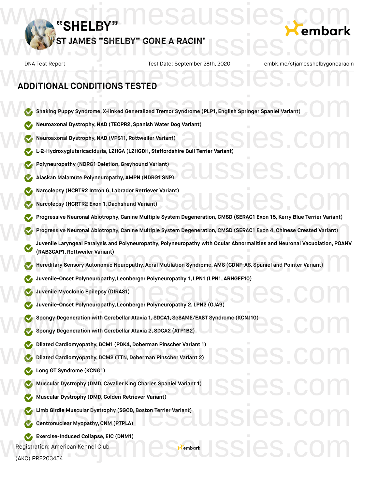

# **ADDITIONAL CONDITIONS TESTED** DNA Test Report Test Date: September 28th, 2020 embk.me/stjamesshelbygonearacii<br>ADDITIONAL CONDITIONS TESTED

- **Shaking Puppy Syndrome, X-linked Generalized Tremor Syndrome (PLP1, English Springer Spaniel Variant)** Shaking Puppy Syndrome, X-linked Generalized Tremor Syndrome (PLP1, English Springer Spaniel Variant)
	- **Neuroaxonal Dystrophy,NAD (TECPR2, Spanish Water Dog Variant)**
	- **Neuroaxonal Dystrophy,NAD (VPS11, Rottweiler Variant)**
- **Lines and Starford Bandary Meuroaxonal Dystrophy, NAD (TECPR2, Spanish Water Dog Variant)**<br>
We L-2-Hydroxyglutaricaciduria, L2HGA (L2HGDH, Staffordshire Bull Terrier Variant)<br>
We L-2-Hydroxyglutaricaciduria, L2HGA (L2HGDH
	- **Polyneuropathy (NDRG1 Deletion,Greyhound Variant)**
- **Alaskan Malamute Polyneuropathy, AMPN (NDRG1 SNP)** We Polyneuropathy (NDRG1 Deletion, Greyhound Variant)<br>Malaskan Malamute Polyneuropathy, AMPN (NDRG1 SNP)<br>Malaskan Malamute Polyneuropathy, AMPN (NDRG1 SNP)<br>Malaskan Malamute Polyneuropathy, AMPN (NDRG1 SNP)
- **Narcolepsy (HCRTR2 Intron 6, Labrador Retriever Variant)** W Narcolepsy (HCRTR2 Intron 6, Labrador Retriever Variant)<br>W Narcolepsy (HCRTR2 Exon 1, Dachshund Variant)<br>W Narcolepsy (HCRTR2 Exon 1, Dachshund Variant)
	- **Narcolepsy (HCRTR2 Exon 1,Dachshund Variant)**
	- **Progressive Neuronal Abiotrophy,Canine Multiple System Degeneration,CMSD (SERAC1 Exon 15, Kerry Blue Terrier Variant)**
	- **Progressive Neuronal Abiotrophy,Canine Multiple System Degeneration,CMSD (SERAC1 Exon 4, Chinese Crested Variant)**
- **Juvenile Laryngeal Paralysis and Polyneuropathy, Polyneuropathy with Ocular Abnormalities and Neuronal Vacuolation, POANV (RAB3GAP1, Rottweiler Variant)** © Progressive Neuronal Abiotrophy, Canine Multiple System Degeneration, CMSD (SERAC1 Exon 15, Kerry Blue Terrier Variant)<br>Progressive Neuronal Abiotrophy, Canine Multiple System Degeneration, CMSD (SERAC1 Exon 4, Chinese (RAB3GAP1, Rottweiler Variant)<br>Hereditary Sensory Autonomic Neuropathy, Acral Mutilation Syndrome, AMS (GDNF-AS, Spaniel and Pointer Variant)

**Embark SSIES.C.** 

- **Hereditary Sensory Autonomic Neuropathy, Acral Mutilation Syndrome, AMS (GDNF-AS, Spaniel and Pointer Variant)**
- **Juvenile-Onset Polyneuropathy, Leonberger Polyneuropathy 1, LPN1 (LPN1, ARHGEF10)**
- **Juvenile Myoclonic Epilepsy (DIRAS1)**
- **Juvenile-Onset Polyneuropathy, Leonberger Polyneuropathy 2, LPN2 (GJA9)** Suivenile-Onset Polyneuropathy, Leonberger Polyneuropathy 1, LPN1 (LPN1, ARHGEF10)<br>
Suivenile Myoclonic Epilepsy (DIRAS1)<br>
Suivenile-Onset Polyneuropathy, Leonberger Polyneuropathy 2, LPN2 (GJA9)
- **Spongy Degeneration with Cerebellar Ataxia 1, SDCA1, SeSAME/EAST Syndrome (KCNJ10)** Spongy Degeneration with Cerebellar Ataxia 1, SDCA1, SeSAME/EAST Syndrome (KCNJ10)<br>Spongy Degeneration with Cerebellar Ataxia 2, SDCA2 (ATP1B2)
	- **Spongy Degeneration with Cerebellar Ataxia 2, SDCA2 (ATP1B2)**
	- **Dilated Cardiomyopathy, DCM1 (PDK4, Doberman Pinscher Variant 1)**
- **Dilated Cardiomyopathy, DCM2 (TTN, Doberman Pinscher Variant 2)** Dilated Cardiomyopathy, DCM1 (PDK4, Doberman Pinscher Variant 1)<br>Dilated Cardiomyopathy, DCM2 (TTN, Doberman Pinscher Variant 2)<br>Company (VONO3)
	- **Long QT Syndrome (KCNQ1)**
- **Muscular Dystrophy (DMD,Cavalier King Charles Spaniel Variant 1)** We Long GT Syndrome (KCNGT)<br>Www.stular Dystrophy (DMD, Cavalier King Charles Spaniel Variant 1)<br>Www.stular Dystrophy (DMD, Golden Retriever Variant)
	- **Muscular Dystrophy (DMD,Golden Retriever Variant)**
- **Limb Girdle Muscular Dystrophy (SGCD, Boston Terrier Variant)** Limb Girdle Muscular Dystrophy (SGCD, Boston Terrier Variant)<br>Contronuclear Myopathy, CNM (PTPLA)
	- **Centronuclear Myopathy,CNM (PTPLA)**
	- **Exercise-Induced Collapse, EIC (DNM1)**
	- Registration: American Kennel Club

(AKC) PR2203454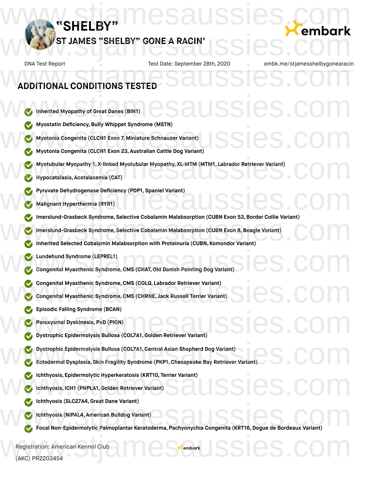

## **ADDITIONAL CONDITIONS TESTED**

- **Inherited Myopathy of Great Danes (BIN1) Myostatin Deficiency,Bully Whippet Syndrome (MSTN) Myotonia Congenita (CLCN1 Exon 7, Miniature Schnauzer Variant) Myotonia Congenita (CLCN1 Exon 23, Australian Cattle Dog Variant) Myotubular Myopathy 1, X-linked Myotubular Myopathy, XL-MTM (MTM1, Labrador Retriever Variant) Hypocatalasia, Acatalasemia (CAT) Pyruvate Dehydrogenase Deficiency (PDP1, Spaniel Variant) Malignant Hyperthermia (RYR1) Imerslund-Grasbeck Syndrome, Selective Cobalamin Malabsorption (CUBN Exon 53,Border Collie Variant) Imerslund-Grasbeck Syndrome, Selective Cobalamin Malabsorption (CUBN Exon 8,Beagle Variant) Inherited Selected Cobalamin Malabsorption with Proteinuria (CUBN, Komondor Variant) Lundehund Syndrome (LEPREL1) Congenital Myasthenic Syndrome, CMS** (CHAT, Old Danish Pointing Dog Variant) **Congenital Myasthenic Syndrome, CMS (COLQ, Labrador Retriever Variant)**<br>
Congenital Myasthenic Syndrome, CMS (CHRNE, Jack Russell Terrier Variant)<br>
www.stiamesaussies.com **Congenital Myasthenic Syndrome,CMS (CHRNE, Jack Russell Terrier Variant) Episodic Falling Syndrome (BCAN) Paroxysmal Dyskinesia, PxD (PIGN) Dystrophic Epidermolysis Bullosa (COL7A1,Golden Retriever Variant) Dystrophic Epidermolysis Bullosa (COL7A1,Central Asian Shepherd Dog Variant) Ectodermal Dysplasia, Skin Fragility Syndrome (PKP1, Chesapeake Bay Retriever Variant) Ichthyosis, Epidermolytic Hyperkeratosis (KRT10, Terrier Variant) Ichthyosis, ICH1 (PNPLA1,Golden Retriever Variant) Ichthyosis (SLC27A4,Great Dane Variant) Ichthyosis (NIPAL4, American Bulldog Variant) Focal Non-Epidermolytic Palmoplantar Keratoderma, Pachyonychia Congenita (KRT16, Dogue de Bordeaux Variant)** We Inherited Myopathy of Great Danes (BIN1) CSAUSSICS. COM Myostatin Deficiency, Bully Whippet Syndrome (MSTN)<br>Myotonia Congenita (CLCN1 Exon 7, Miniature Schnauzer Variant)<br>Myotonia Congenita (CLCN1 Exon 23, Australian Cattle Dog Variant) Wyotubular Myopathy 1, X-linked Myotubular Myopathy, XL-MTM (MTM1, Labrador Retriever Variant)<br>Hypocatalasia, Acatalasemia (CAT) W Pyruvate Dehydrogenase Deficiency (PDP1, Spaniel Variant)<br>W Malignant Hyperthermia (RYR1) Manusland - Grasbeck Syndrome, Selective Cobalamin Malabsorption (CUBN Exon 53, Border Collie Variant)<br>Imerslund - Grasbeck Syndrome, Selective Cobalamin Malabsorption (CUBN Exon 8, Beagle Variant)<br>Inherited Selected Cobal Episodic Falling Syndrome (BCAN)<br>
We Paroxysmal Dyskinesia, PxD (PIGN)<br>
We Dystrophic Epidermolysis Bullosa (COL7A1, Golden Retriever Variant)<br>
We Dystrophic Epidermolysis Bullosa (COL7A1, Golden Retriever Variant) W Dystrophic Epidermolysis Bullosa (COL7A1, Central Asian Shepherd Dog Variant)<br>Ectodermal Dysplasia, Skin Fragility Syndrome (PKP1, Chesapeake Bay Retriever Variant) Unchthyosis, Epidermolytic Hyperkeratosis (KRT10, Terrier Variant)<br>
Unchthyosis, ICH1 (PNPLA1, Golden Retriever Variant)<br>
Charles (SLOCT44, Out Dave Variant)
	-

Registration: American Kennel Club (AKC) PR2203454 Registration: American Kennel Club<br>(AKC) PR2203454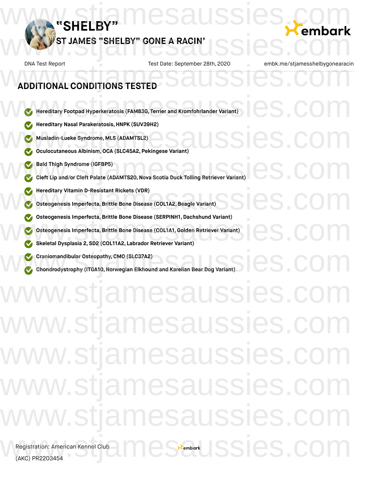

DNA Test Report Test Date: September 28th, 2020 embk.me/stjamesshelbygonearacin **Hereditary Footpad Hyperkeratosis (FAM83G, Terrier and Kromfohrlander Variant) Hereditary Nasal Parakeratosis,HNPK (SUV39H2) Musladin-Lueke Syndrome, MLS (ADAMTSL2) Oculocutaneous Albinism,OCA (SLC45A2, Pekingese Variant) Bald Thigh Syndrome (IGFBP5) Cleft** Lip and/or Cleft Palate (ADAMTS20, Nova Scotia Duck Tolling Retriever Variant) **Hereditary Vitamin D-Resistant Rickets (VDR) Osteogenesis Imperfecta,Brittle Bone Disease (COL1A2,Beagle Variant) Osteogenesis Imperfecta,Brittle Bone Disease (SERPINH1, Dachshund Variant) Osteogenesis Imperfecta,Brittle Bone Disease (COL1A1,Golden Retriever Variant) Skeletal Dysplasia 2, SD2 (COL11A2, Labrador Retriever Variant) Craniomandibular Osteopathy,CMO (SLC37A2) Chondrodystrophy** (ITGA10, Norwegian Elkhound and Karelian Bear Dog Variant) **ADDITIONAL CONDITIONS TESTED** DNA Test Report Test Date: September 28th, 2020 embk.me/stjamesshelbygonearacii<br>ADDITIONAL CONDITIONS TESTED Weiler Hereditary Footpad Hyperkeratosis (FAM83G, Terrier and Kromfohrlander Variant) Wereditary Nasal Parakeratosis, HNPK (SUV39H2)<br>
Wereditary Nasal Parakeratosis, HNPK (SUV39H2)<br>
Wereditary Nasal Parakeratosis, HNPK (SUV39H2)<br>
Wereditary Nasal Parakeratosis, HNPK (SUV39H2)<br>
COM We Hereditary Vitamin D-Resistant Rickets (VDR)<br>
Osteogenesis Imperfecta, Brittle Bone Disease (COL1A2, Beagle Variant)<br>
Osteogenesis Imperfecta, Brittle Bone Disease (COL1A2, Beagle Variant) Osteogenesis Imperfecta, Brittle Bone Disease (SERPINH1, Dachshund Variant)<br>
Osteogenesis Imperfecta, Brittle Bone Disease (COL1A1, Golden Retriever Variant)<br>
Skeletal Dysplasia 2, SD2 (COL11A2, Labrador Retriever Variant) ww.stjamesaussies.c w.stjamesaussies.com ww.stjamesaussies. w.stjamesaussies.c w.stjamesaussies.co  $x<sub>ember</sub>$  SSIes.